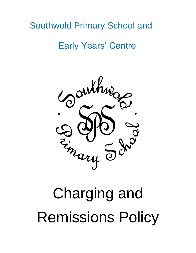## Southwold Primary School and

# Early Years' Centre



# Charging and Remissions Policy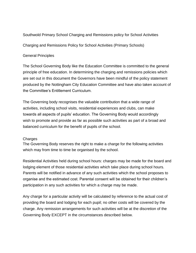Southwold Primary School Charging and Remissions policy for School Activities

Charging and Remissions Policy for School Activities (Primary Schools)

### General Principles

The School Governing Body like the Education Committee is committed to the general principle of free education. In determining the charging and remissions policies which are set out in this document the Governors have been mindful of the policy statement produced by the Nottingham City Education Committee and have also taken account of the Committee's Entitlement Curriculum.

The Governing body recognises the valuable contribution that a wide range of activities, including school visits, residential experiences and clubs, can make towards all aspects of pupils' education. The Governing Body would accordingly wish to promote and provide as far as possible such activities as part of a broad and balanced curriculum for the benefit of pupils of the school.

## **Charges**

The Governing Body reserves the right to make a charge for the following activities which may from time to time be organised by the school.

Residential Activities held during school hours: charges may be made for the board and lodging element of those residential activities which take place during school hours. Parents will be notified in advance of any such activities which the school proposes to organise and the estimated cost. Parental consent will be obtained for their children's participation in any such activities for which a charge may be made.

Any charge for a particular activity will be calculated by reference to the actual cost of providing the board and lodging for each pupil; no other costs will be covered by the charge. Any remission arrangements for such activities will be at the discretion of the Governing Body EXCEPT in the circumstances described below.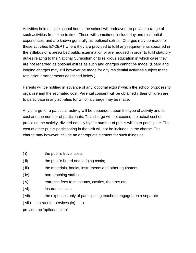Activities held outside school hours: the school will endeavour to provide a range of such activities from time to time. These will sometimes include day and residential experiences, and are known generally as 'optional extras'. Charges may be made for these activities EXCEPT where they are provided to fulfil any requirements specified in the syllabus of a prescribed public examination or are required in order to fulfil statutory duties relating to the National Curriculum or to religious education in which case they are not regarded as optional extras as such and charges cannot be made. (Board and lodging charges may still however be made for any residential activities subject to the remission arrangements described below.)

Parents will be notified in advance of any 'optional extras' which the school proposes to organise and the estimated cost. Parental consent will be obtained if their children are to participate in any activities for which a charge may be made.

Any charge for a particular activity will be dependent upon the type of activity and its cost and the number of participants. This charge will not exceed the actual cost of providing the activity, divided equally by the number of pupils willing to participate. The cost of other pupils participating in the visit will not be included in the charge. The charge may however include an appropriate element for such things as:

- (i) the pupil's travel costs;
- (ii) the pupil's board and lodging costs;
- ( iii) the materials, books, instruments and other equipment;
- ( iv) non-teaching staff costs;
- ( v) entrance fees to museums, castles, theatres etc;
- ( vi) insurance costs;
- ( vii) the expenses only of participating teachers engaged on a separate
- ( viii) contract for services (ix) to

provide the 'optional extra'.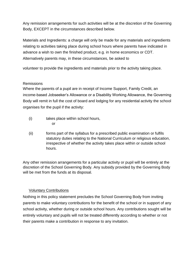Any remission arrangements for such activities will be at the discretion of the Governing Body, EXCEPT in the circumstances described below.

Materials and Ingredients: a charge will only be made for any materials and ingredients relating to activities taking place during school hours where parents have indicated in advance a wish to own the finished product, e.g. in home economics or CDT. Alternatively parents may, in these circumstances, be asked to

volunteer to provide the ingredients and materials prior to the activity taking place.

#### Remissions

Where the parents of a pupil are in receipt of Income Support, Family Credit, an income-based Jobseeker's Allowance or a Disability Working Allowance, the Governing Body will remit in full the cost of board and lodging for any residential activity the school organises for the pupil if the activity:

- (i) takes place within school hours, or
- (ii) forms part of the syllabus for a prescribed public examination or fulfils statutory duties relating to the National Curriculum or religious education, irrespective of whether the activity takes place within or outside school hours.

Any other remission arrangements for a particular activity or pupil will be entirely at the discretion of the School Governing Body. Any subsidy provided by the Governing Body will be met from the funds at its disposal.

#### Voluntary Contributions

Nothing in this policy statement precludes the School Governing Body from inviting parents to make voluntary contributions for the benefit of the school or in support of any school activity, whether during or outside school hours. Any contributions sought will be entirely voluntary and pupils will not be treated differently according to whether or not their parents make a contribution in response to any invitation.